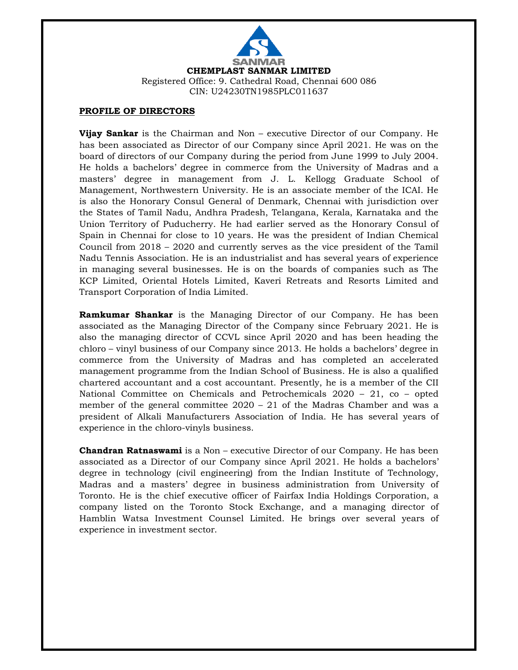

## **PROFILE OF DIRECTORS**

**Vijay Sankar** is the Chairman and Non – executive Director of our Company. He has been associated as Director of our Company since April 2021. He was on the board of directors of our Company during the period from June 1999 to July 2004. He holds a bachelors' degree in commerce from the University of Madras and a masters' degree in management from J. L. Kellogg Graduate School of Management, Northwestern University. He is an associate member of the ICAI. He is also the Honorary Consul General of Denmark, Chennai with jurisdiction over the States of Tamil Nadu, Andhra Pradesh, Telangana, Kerala, Karnataka and the Union Territory of Puducherry. He had earlier served as the Honorary Consul of Spain in Chennai for close to 10 years. He was the president of Indian Chemical Council from 2018 – 2020 and currently serves as the vice president of the Tamil Nadu Tennis Association. He is an industrialist and has several years of experience in managing several businesses. He is on the boards of companies such as The KCP Limited, Oriental Hotels Limited, Kaveri Retreats and Resorts Limited and Transport Corporation of India Limited.

**Ramkumar Shankar** is the Managing Director of our Company. He has been associated as the Managing Director of the Company since February 2021. He is also the managing director of CCVL since April 2020 and has been heading the chloro – vinyl business of our Company since 2013. He holds a bachelors' degree in commerce from the University of Madras and has completed an accelerated management programme from the Indian School of Business. He is also a qualified chartered accountant and a cost accountant. Presently, he is a member of the CII National Committee on Chemicals and Petrochemicals 2020 – 21, co – opted member of the general committee  $2020 - 21$  of the Madras Chamber and was a president of Alkali Manufacturers Association of India. He has several years of experience in the chloro-vinyls business.

**Chandran Ratnaswami** is a Non – executive Director of our Company. He has been associated as a Director of our Company since April 2021. He holds a bachelors' degree in technology (civil engineering) from the Indian Institute of Technology, Madras and a masters' degree in business administration from University of Toronto. He is the chief executive officer of Fairfax India Holdings Corporation, a company listed on the Toronto Stock Exchange, and a managing director of Hamblin Watsa Investment Counsel Limited. He brings over several years of experience in investment sector.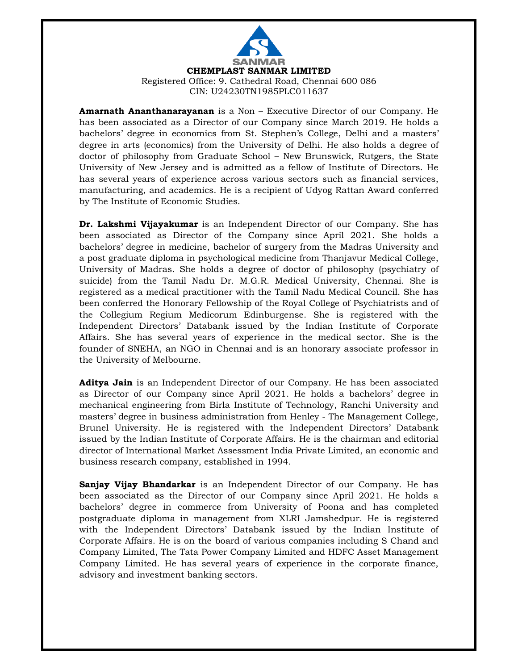

**Amarnath Ananthanarayanan** is a Non – Executive Director of our Company. He has been associated as a Director of our Company since March 2019. He holds a bachelors' degree in economics from St. Stephen's College, Delhi and a masters' degree in arts (economics) from the University of Delhi. He also holds a degree of doctor of philosophy from Graduate School – New Brunswick, Rutgers, the State University of New Jersey and is admitted as a fellow of Institute of Directors. He has several years of experience across various sectors such as financial services, manufacturing, and academics. He is a recipient of Udyog Rattan Award conferred by The Institute of Economic Studies.

**Dr. Lakshmi Vijayakumar** is an Independent Director of our Company. She has been associated as Director of the Company since April 2021. She holds a bachelors' degree in medicine, bachelor of surgery from the Madras University and a post graduate diploma in psychological medicine from Thanjavur Medical College, University of Madras. She holds a degree of doctor of philosophy (psychiatry of suicide) from the Tamil Nadu Dr. M.G.R. Medical University, Chennai. She is registered as a medical practitioner with the Tamil Nadu Medical Council. She has been conferred the Honorary Fellowship of the Royal College of Psychiatrists and of the Collegium Regium Medicorum Edinburgense. She is registered with the Independent Directors' Databank issued by the Indian Institute of Corporate Affairs. She has several years of experience in the medical sector. She is the founder of SNEHA, an NGO in Chennai and is an honorary associate professor in the University of Melbourne.

**Aditya Jain** is an Independent Director of our Company. He has been associated as Director of our Company since April 2021. He holds a bachelors' degree in mechanical engineering from Birla Institute of Technology, Ranchi University and masters' degree in business administration from Henley - The Management College, Brunel University. He is registered with the Independent Directors' Databank issued by the Indian Institute of Corporate Affairs. He is the chairman and editorial director of International Market Assessment India Private Limited, an economic and business research company, established in 1994.

**Sanjay Vijay Bhandarkar** is an Independent Director of our Company. He has been associated as the Director of our Company since April 2021. He holds a bachelors' degree in commerce from University of Poona and has completed postgraduate diploma in management from XLRI Jamshedpur. He is registered with the Independent Directors' Databank issued by the Indian Institute of Corporate Affairs. He is on the board of various companies including S Chand and Company Limited, The Tata Power Company Limited and HDFC Asset Management Company Limited. He has several years of experience in the corporate finance, advisory and investment banking sectors.